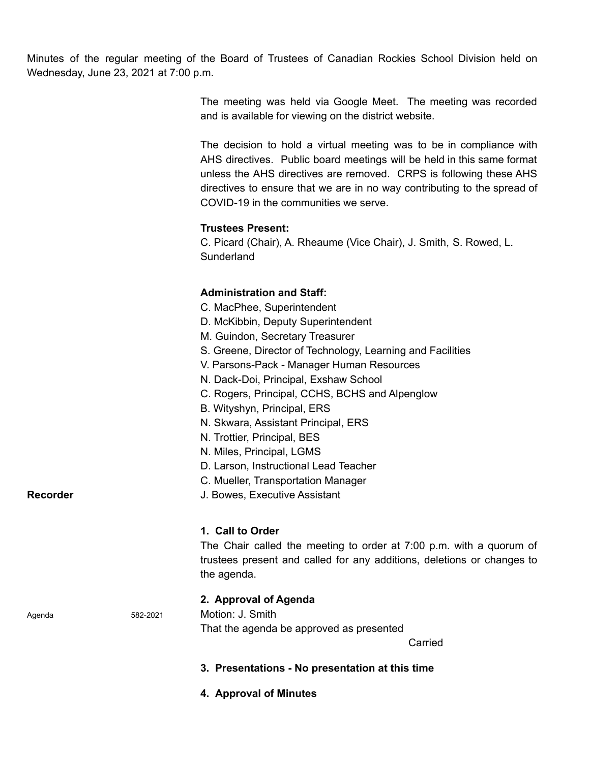Minutes of the regular meeting of the Board of Trustees of Canadian Rockies School Division held on Wednesday, June 23, 2021 at 7:00 p.m.

> The meeting was held via Google Meet. The meeting was recorded and is available for viewing on the district website.

> The decision to hold a virtual meeting was to be in compliance with AHS directives. Public board meetings will be held in this same format unless the AHS directives are removed. CRPS is following these AHS directives to ensure that we are in no way contributing to the spread of COVID-19 in the communities we serve.

### **Trustees Present:**

C. Picard (Chair), A. Rheaume (Vice Chair), J. Smith, S. Rowed, L. Sunderland

# **Administration and Staff:**

- C. MacPhee, Superintendent
- D. McKibbin, Deputy Superintendent
- M. Guindon, Secretary Treasurer
- S. Greene, Director of Technology, Learning and Facilities
- V. Parsons-Pack Manager Human Resources
- N. Dack-Doi, Principal, Exshaw School
- C. Rogers, Principal, CCHS, BCHS and Alpenglow
- B. Wityshyn, Principal, ERS
- N. Skwara, Assistant Principal, ERS
- N. Trottier, Principal, BES
- N. Miles, Principal, LGMS
- D. Larson, Instructional Lead Teacher
- C. Mueller, Transportation Manager
- **Recorder Recorder** J. Bowes, Executive Assistant

#### **1. Call to Order**

The Chair called the meeting to order at 7:00 p.m. with a quorum of trustees present and called for any additions, deletions or changes to the agenda.

### **2. Approval of Agenda**

Agenda 582-2021 Motion: J. Smith That the agenda be approved as presented

Carried

#### **3. Presentations - No presentation at this time**

**4. Approval of Minutes**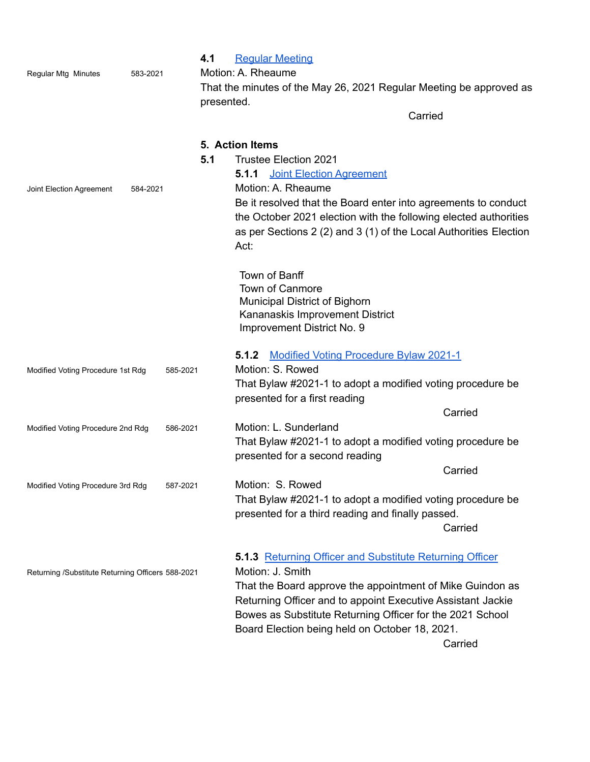|                                                   |          | 4.1      | <b>Regular Meeting</b>                                              |
|---------------------------------------------------|----------|----------|---------------------------------------------------------------------|
| Regular Mtg Minutes                               | 583-2021 |          | Motion: A. Rheaume                                                  |
|                                                   |          |          | That the minutes of the May 26, 2021 Regular Meeting be approved as |
|                                                   |          |          | presented.                                                          |
|                                                   |          |          | Carried                                                             |
|                                                   |          |          | 5. Action Items                                                     |
|                                                   |          | 5.1      | <b>Trustee Election 2021</b>                                        |
|                                                   |          |          | <b>5.1.1</b> Joint Election Agreement                               |
| Joint Election Agreement                          | 584-2021 |          | Motion: A. Rheaume                                                  |
|                                                   |          |          | Be it resolved that the Board enter into agreements to conduct      |
|                                                   |          |          | the October 2021 election with the following elected authorities    |
|                                                   |          |          | as per Sections 2 (2) and 3 (1) of the Local Authorities Election   |
|                                                   |          |          | Act:                                                                |
|                                                   |          |          | Town of Banff                                                       |
|                                                   |          |          | Town of Canmore                                                     |
|                                                   |          |          | Municipal District of Bighorn                                       |
|                                                   |          |          | Kananaskis Improvement District                                     |
|                                                   |          |          | Improvement District No. 9                                          |
|                                                   |          |          | <b>Modified Voting Procedure Bylaw 2021-1</b><br>5.1.2              |
| Modified Voting Procedure 1st Rdg                 |          | 585-2021 | Motion: S. Rowed                                                    |
|                                                   |          |          | That Bylaw #2021-1 to adopt a modified voting procedure be          |
|                                                   |          |          | presented for a first reading                                       |
|                                                   |          |          | Carried                                                             |
| Modified Voting Procedure 2nd Rdg<br>586-2021     |          |          | Motion: L. Sunderland                                               |
|                                                   |          |          | That Bylaw #2021-1 to adopt a modified voting procedure be          |
|                                                   |          |          | presented for a second reading                                      |
|                                                   |          |          | Carried                                                             |
| Modified Voting Procedure 3rd Rdg                 |          | 587-2021 | Motion: S. Rowed                                                    |
|                                                   |          |          | That Bylaw #2021-1 to adopt a modified voting procedure be          |
|                                                   |          |          | presented for a third reading and finally passed.<br>Carried        |
|                                                   |          |          |                                                                     |
|                                                   |          |          | <b>5.1.3 Returning Officer and Substitute Returning Officer</b>     |
| Returning /Substitute Returning Officers 588-2021 |          |          | Motion: J. Smith                                                    |
|                                                   |          |          | That the Board approve the appointment of Mike Guindon as           |
|                                                   |          |          | Returning Officer and to appoint Executive Assistant Jackie         |
|                                                   |          |          | Bowes as Substitute Returning Officer for the 2021 School           |
|                                                   |          |          | Board Election being held on October 18, 2021.                      |
|                                                   |          |          | Carried                                                             |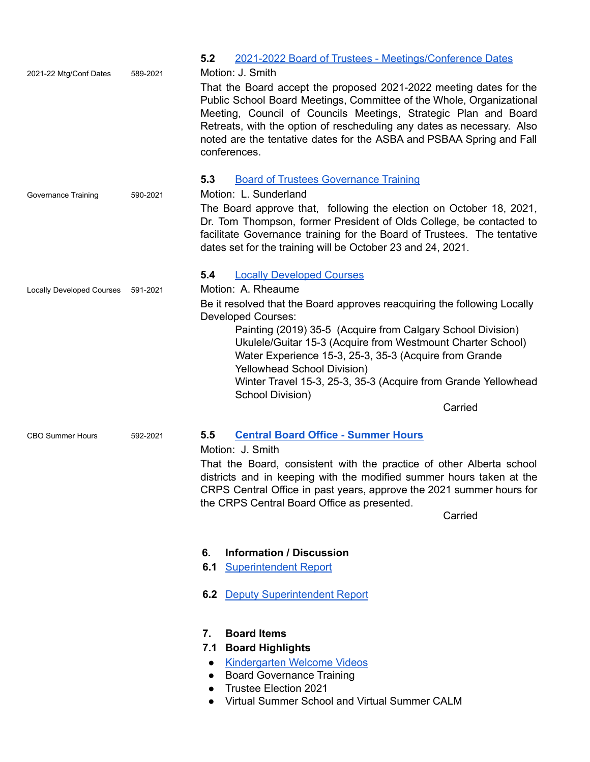|                                  |          | 2021-2022 Board of Trustees - Meetings/Conference Dates<br>5.2                                                                                                                                                                                                                                                                                                                  |  |  |
|----------------------------------|----------|---------------------------------------------------------------------------------------------------------------------------------------------------------------------------------------------------------------------------------------------------------------------------------------------------------------------------------------------------------------------------------|--|--|
| 2021-22 Mtg/Conf Dates           | 589-2021 | Motion: J. Smith                                                                                                                                                                                                                                                                                                                                                                |  |  |
|                                  |          | That the Board accept the proposed 2021-2022 meeting dates for the<br>Public School Board Meetings, Committee of the Whole, Organizational<br>Meeting, Council of Councils Meetings, Strategic Plan and Board<br>Retreats, with the option of rescheduling any dates as necessary. Also<br>noted are the tentative dates for the ASBA and PSBAA Spring and Fall<br>conferences. |  |  |
|                                  |          | 5.3<br><b>Board of Trustees Governance Training</b>                                                                                                                                                                                                                                                                                                                             |  |  |
| Governance Training              | 590-2021 | Motion: L. Sunderland                                                                                                                                                                                                                                                                                                                                                           |  |  |
|                                  |          | The Board approve that, following the election on October 18, 2021,<br>Dr. Tom Thompson, former President of Olds College, be contacted to<br>facilitate Governance training for the Board of Trustees. The tentative<br>dates set for the training will be October 23 and 24, 2021.                                                                                            |  |  |
|                                  |          | 5.4<br><b>Locally Developed Courses</b>                                                                                                                                                                                                                                                                                                                                         |  |  |
| <b>Locally Developed Courses</b> | 591-2021 | Motion: A. Rheaume                                                                                                                                                                                                                                                                                                                                                              |  |  |
|                                  |          | Be it resolved that the Board approves reacquiring the following Locally<br><b>Developed Courses:</b>                                                                                                                                                                                                                                                                           |  |  |
|                                  |          | Painting (2019) 35-5 (Acquire from Calgary School Division)<br>Ukulele/Guitar 15-3 (Acquire from Westmount Charter School)<br>Water Experience 15-3, 25-3, 35-3 (Acquire from Grande<br>Yellowhead School Division)                                                                                                                                                             |  |  |
|                                  |          | Winter Travel 15-3, 25-3, 35-3 (Acquire from Grande Yellowhead<br>School Division)                                                                                                                                                                                                                                                                                              |  |  |
|                                  |          | Carried                                                                                                                                                                                                                                                                                                                                                                         |  |  |
| <b>CBO Summer Hours</b>          | 592-2021 | <b>Central Board Office - Summer Hours</b><br>5.5                                                                                                                                                                                                                                                                                                                               |  |  |
|                                  |          | Motion: J. Smith                                                                                                                                                                                                                                                                                                                                                                |  |  |
|                                  |          | That the Board, consistent with the practice of other Alberta school<br>districts and in keeping with the modified summer hours taken at the<br>CRPS Central Office in past years, approve the 2021 summer hours for<br>the CRPS Central Board Office as presented.                                                                                                             |  |  |
|                                  |          | Carried                                                                                                                                                                                                                                                                                                                                                                         |  |  |
|                                  |          |                                                                                                                                                                                                                                                                                                                                                                                 |  |  |
|                                  |          | <b>Information / Discussion</b><br>6.<br>6.1<br><b>Superintendent Report</b>                                                                                                                                                                                                                                                                                                    |  |  |
|                                  |          | <b>6.2</b> Deputy Superintendent Report                                                                                                                                                                                                                                                                                                                                         |  |  |
|                                  |          |                                                                                                                                                                                                                                                                                                                                                                                 |  |  |
|                                  |          | 7.<br><b>Board Items</b>                                                                                                                                                                                                                                                                                                                                                        |  |  |
|                                  |          | <b>Board Highlights</b><br>7.1                                                                                                                                                                                                                                                                                                                                                  |  |  |
|                                  |          | <b>Kindergarten Welcome Videos</b><br>$\bullet$<br><b>Board Governance Training</b><br>$\bullet$                                                                                                                                                                                                                                                                                |  |  |
|                                  |          | <b>Trustee Election 2021</b><br>$\bullet$                                                                                                                                                                                                                                                                                                                                       |  |  |
|                                  |          | Virtual Summer School and Virtual Summer CALM                                                                                                                                                                                                                                                                                                                                   |  |  |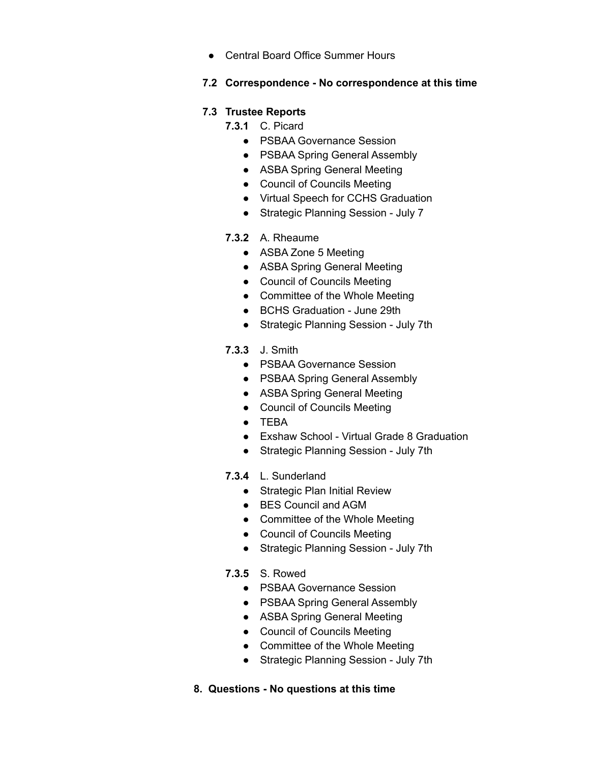● Central Board Office Summer Hours

## **7.2 Correspondence - No correspondence at this time**

### **7.3 Trustee Reports**

- **7.3.1** C. Picard
	- PSBAA Governance Session
	- PSBAA Spring General Assembly
	- ASBA Spring General Meeting
	- Council of Councils Meeting
	- Virtual Speech for CCHS Graduation
	- Strategic Planning Session July 7
- **7.3.2** A. Rheaume
	- ASBA Zone 5 Meeting
	- ASBA Spring General Meeting
	- Council of Councils Meeting
	- Committee of the Whole Meeting
	- BCHS Graduation June 29th
	- Strategic Planning Session July 7th
- **7.3.3** J. Smith
	- PSBAA Governance Session
	- PSBAA Spring General Assembly
	- ASBA Spring General Meeting
	- Council of Councils Meeting
	- TEBA
	- Exshaw School Virtual Grade 8 Graduation
	- Strategic Planning Session July 7th
- **7.3.4** L. Sunderland
	- Strategic Plan Initial Review
	- BES Council and AGM
	- Committee of the Whole Meeting
	- Council of Councils Meeting
	- Strategic Planning Session July 7th
- **7.3.5** S. Rowed
	- PSBAA Governance Session
	- PSBAA Spring General Assembly
	- ASBA Spring General Meeting
	- Council of Councils Meeting
	- Committee of the Whole Meeting
	- Strategic Planning Session July 7th
- **8. Questions - No questions at this time**